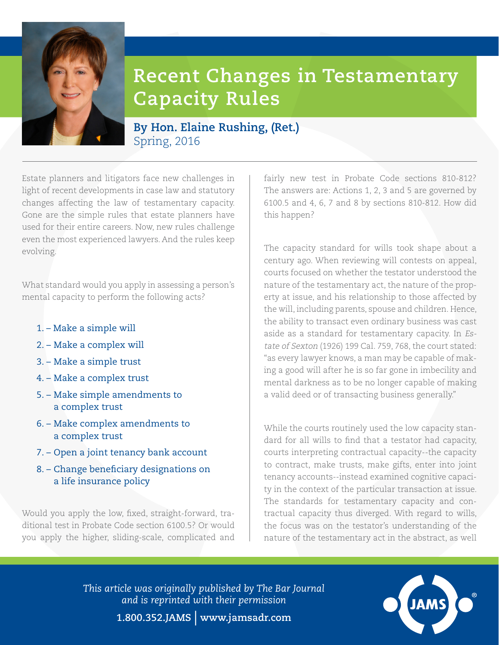

## **Recent Changes in Testamentary Capacity Rules**

## **By Hon. Elaine Rushing, (Ret.)** Spring, 2016

Estate planners and litigators face new challenges in light of recent developments in case law and statutory changes affecting the law of testamentary capacity. Gone are the simple rules that estate planners have used for their entire careers. Now, new rules challenge even the most experienced lawyers. And the rules keep evolving.

What standard would you apply in assessing a person's mental capacity to perform the following acts?

- 1. Make a simple will
- 2. Make a complex will
- 3. Make a simple trust
- 4. Make a complex trust
- 5. Make simple amendments to a complex trust
- 6. Make complex amendments to a complex trust
- 7. Open a joint tenancy bank account
- 8. Change beneficiary designations on a life insurance policy

Would you apply the low, fixed, straight-forward, traditional test in Probate Code section 6100.5? Or would you apply the higher, sliding-scale, complicated and

fairly new test in Probate Code sections 810-812? The answers are: Actions 1, 2, 3 and 5 are governed by 6100.5 and 4, 6, 7 and 8 by sections 810-812. How did this happen?

The capacity standard for wills took shape about a century ago. When reviewing will contests on appeal, courts focused on whether the testator understood the nature of the testamentary act, the nature of the property at issue, and his relationship to those affected by the will, including parents, spouse and children. Hence, the ability to transact even ordinary business was cast aside as a standard for testamentary capacity. In Estate of Sexton (1926) 199 Cal. 759, 768, the court stated: "as every lawyer knows, a man may be capable of making a good will after he is so far gone in imbecility and mental darkness as to be no longer capable of making a valid deed or of transacting business generally."

While the courts routinely used the low capacity standard for all wills to find that a testator had capacity, courts interpreting contractual capacity--the capacity to contract, make trusts, make gifts, enter into joint tenancy accounts--instead examined cognitive capacity in the context of the particular transaction at issue. The standards for testamentary capacity and contractual capacity thus diverged. With regard to wills, the focus was on the testator's understanding of the nature of the testamentary act in the abstract, as well

*This article was originally published by The Bar Journal and is reprinted with their permission*



**1.800.352.JAMS** | **www.jamsadr.com**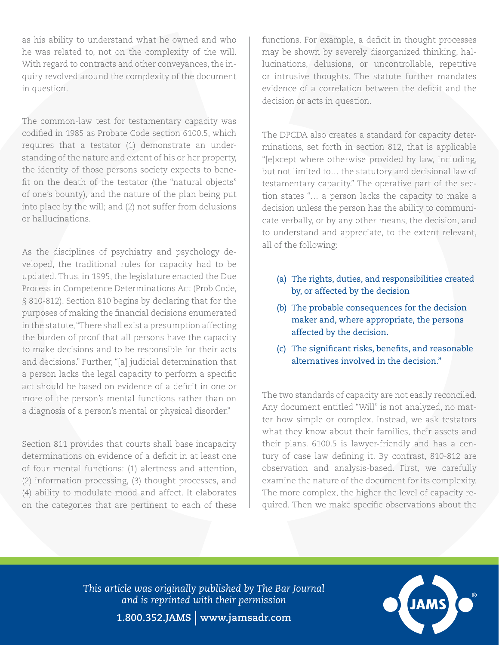as his ability to understand what he owned and who he was related to, not on the complexity of the will. With regard to contracts and other conveyances, the inquiry revolved around the complexity of the document in question.

The common-law test for testamentary capacity was codified in 1985 as Probate Code section 6100.5, which requires that a testator (1) demonstrate an understanding of the nature and extent of his or her property, the identity of those persons society expects to benefit on the death of the testator (the "natural objects" of one's bounty), and the nature of the plan being put into place by the will; and (2) not suffer from delusions or hallucinations.

As the disciplines of psychiatry and psychology developed, the traditional rules for capacity had to be updated. Thus, in 1995, the legislature enacted the Due Process in Competence Determinations Act (Prob.Code, § 810-812). Section 810 begins by declaring that for the purposes of making the financial decisions enumerated in the statute, "There shall exist a presumption affecting the burden of proof that all persons have the capacity to make decisions and to be responsible for their acts and decisions." Further, "[a] judicial determination that a person lacks the legal capacity to perform a specific act should be based on evidence of a deficit in one or more of the person's mental functions rather than on a diagnosis of a person's mental or physical disorder."

Section 811 provides that courts shall base incapacity determinations on evidence of a deficit in at least one of four mental functions: (1) alertness and attention, (2) information processing, (3) thought processes, and (4) ability to modulate mood and affect. It elaborates on the categories that are pertinent to each of these

functions. For example, a deficit in thought processes may be shown by severely disorganized thinking, hallucinations, delusions, or uncontrollable, repetitive or intrusive thoughts. The statute further mandates evidence of a correlation between the deficit and the decision or acts in question.

The DPCDA also creates a standard for capacity determinations, set forth in section 812, that is applicable "[e]xcept where otherwise provided by law, including, but not limited to… the statutory and decisional law of testamentary capacity." The operative part of the section states "… a person lacks the capacity to make a decision unless the person has the ability to communicate verbally, or by any other means, the decision, and to understand and appreciate, to the extent relevant, all of the following:

- (a) The rights, duties, and responsibilities created by, or affected by the decision
- (b) The probable consequences for the decision maker and, where appropriate, the persons affected by the decision.
- (c) The significant risks, benefits, and reasonable alternatives involved in the decision."

The two standards of capacity are not easily reconciled. Any document entitled "Will" is not analyzed, no matter how simple or complex. Instead, we ask testators what they know about their families, their assets and their plans. 6100.5 is lawyer-friendly and has a century of case law defining it. By contrast, 810-812 are observation and analysis-based. First, we carefully examine the nature of the document for its complexity. The more complex, the higher the level of capacity required. Then we make specific observations about the

*This article was originally published by The Bar Journal and is reprinted with their permission*



**1.800.352.JAMS** | **www.jamsadr.com**